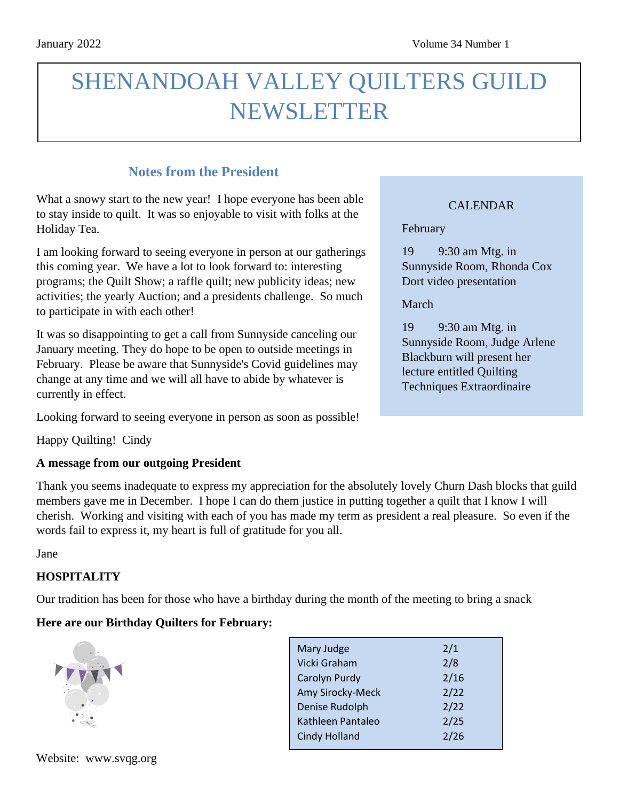# SHENANDOAH VALLEY QUILTERS GUILD NEWSLETTER

### **Notes from the President**

What a snowy start to the new year! I hope everyone has been able to stay inside to quilt. It was so enjoyable to visit with folks at the Holiday Tea.

I am looking forward to seeing everyone in person at our gatherings this coming year. We have a lot to look forward to: interesting programs; the Quilt Show; a raffle quilt; new publicity ideas; new activities; the yearly Auction; and a presidents challenge. So much to participate in with each other!

It was so disappointing to get a call from Sunnyside canceling our January meeting. They do hope to be open to outside meetings in February. Please be aware that Sunnyside's Covid guidelines may change at any time and we will all have to abide by whatever is currently in effect.

Looking forward to seeing everyone in person as soon as possible!

Happy Quilting! Cindy

### **A message from our outgoing President**

Thank you seems inadequate to express my appreciation for the absolutely lovely Churn Dash blocks that guild members gave me in December. I hope I can do them justice in putting together a quilt that I know I will cherish. Working and visiting with each of you has made my term as president a real pleasure. So even if the words fail to express it, my heart is full of gratitude for you all.

Jane

### **HOSPITALITY**

Our tradition has been for those who have a birthday during the month of the meeting to bring a snack

### **Here are our Birthday Quilters for February:**



| Mary Judge           | 2/1  |
|----------------------|------|
| Vicki Graham         | 2/8  |
| Carolyn Purdy        | 2/16 |
| Amy Sirocky-Meck     | 2/22 |
| Denise Rudolph       | 2/22 |
| Kathleen Pantaleo    | 2/25 |
| <b>Cindy Holland</b> | 2/26 |
|                      |      |

### CALENDAR

February

19 9:30 am Mtg. in Sunnyside Room, Rhonda Cox Dort video presentation

March

19 9:30 am Mtg. in Sunnyside Room, Judge Arlene Blackburn will present her lecture entitled Quilting Techniques Extraordinaire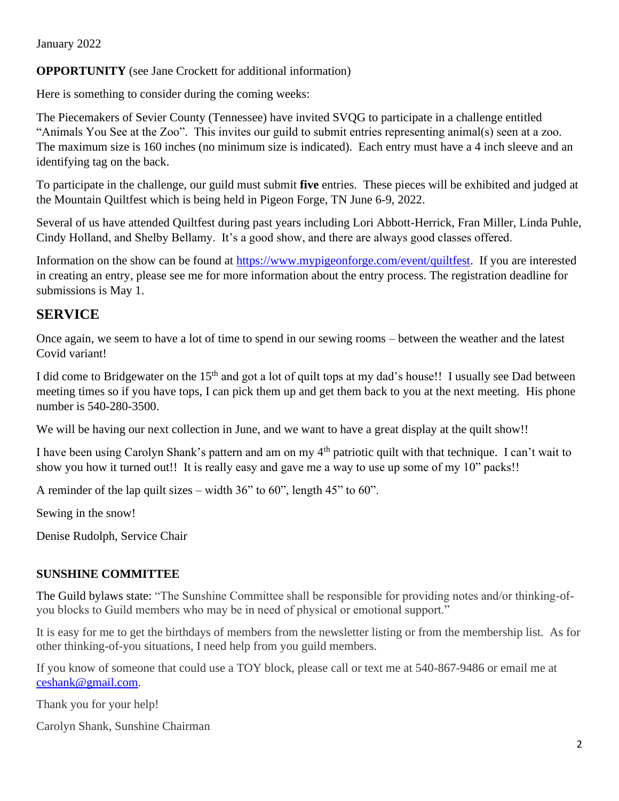#### January 2022

### **OPPORTUNITY** (see Jane Crockett for additional information)

Here is something to consider during the coming weeks:

The Piecemakers of Sevier County (Tennessee) have invited SVQG to participate in a challenge entitled "Animals You See at the Zoo". This invites our guild to submit entries representing animal(s) seen at a zoo. The maximum size is 160 inches (no minimum size is indicated). Each entry must have a 4 inch sleeve and an identifying tag on the back.

To participate in the challenge, our guild must submit **five** entries. These pieces will be exhibited and judged at the Mountain Quiltfest which is being held in Pigeon Forge, TN June 6-9, 2022.

Several of us have attended Quiltfest during past years including Lori Abbott-Herrick, Fran Miller, Linda Puhle, Cindy Holland, and Shelby Bellamy. It's a good show, and there are always good classes offered.

Information on the show can be found at [https://www.mypigeonforge.com/event/quiltfest.](https://www.mypigeonforge.com/event/quiltfest) If you are interested in creating an entry, please see me for more information about the entry process. The registration deadline for submissions is May 1.

### **SERVICE**

Once again, we seem to have a lot of time to spend in our sewing rooms – between the weather and the latest Covid variant!

I did come to Bridgewater on the 15th and got a lot of quilt tops at my dad's house!! I usually see Dad between meeting times so if you have tops, I can pick them up and get them back to you at the next meeting. His phone number is 540-280-3500.

We will be having our next collection in June, and we want to have a great display at the quilt show!!

I have been using Carolyn Shank's pattern and am on my 4<sup>th</sup> patriotic quilt with that technique. I can't wait to show you how it turned out!! It is really easy and gave me a way to use up some of my 10" packs!!

A reminder of the lap quilt sizes – width 36" to 60", length 45" to 60".

Sewing in the snow!

Denise Rudolph, Service Chair

### **SUNSHINE COMMITTEE**

The Guild bylaws state: "The Sunshine Committee shall be responsible for providing notes and/or thinking-ofyou blocks to Guild members who may be in need of physical or emotional support."

It is easy for me to get the birthdays of members from the newsletter listing or from the membership list. As for other thinking-of-you situations, I need help from you guild members.

If you know of someone that could use a TOY block, please call or text me at 540-867-9486 or email me at [ceshank@gmail.com.](mailto:ceshank@gmail.com)

Thank you for your help!

Carolyn Shank, Sunshine Chairman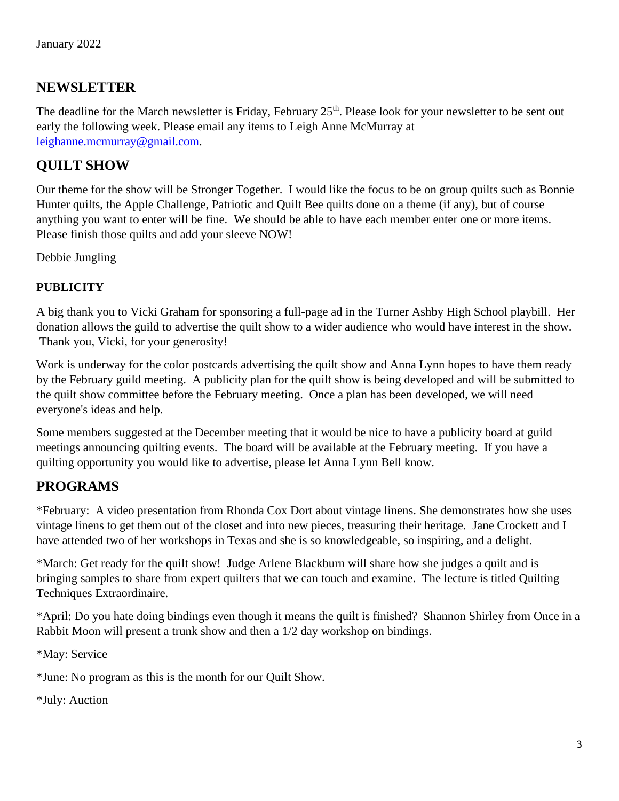### **NEWSLETTER**

The deadline for the March newsletter is Friday, February 25<sup>th</sup>. Please look for your newsletter to be sent out early the following week. Please email any items to [Leigh](mailto:Leigh) Anne McMurray at [leighanne.mcmurray@gmail.com.](mailto:leighanne.mcmurray@gmail.com)

### **QUILT SHOW**

Our theme for the show will be Stronger Together. I would like the focus to be on group quilts such as Bonnie Hunter quilts, the Apple Challenge, Patriotic and Quilt Bee quilts done on a theme (if any), but of course anything you want to enter will be fine. We should be able to have each member enter one or more items. Please finish those quilts and add your sleeve NOW!

Debbie Jungling

### **PUBLICITY**

A big thank you to Vicki Graham for sponsoring a full-page ad in the Turner Ashby High School playbill. Her donation allows the guild to advertise the quilt show to a wider audience who would have interest in the show. Thank you, Vicki, for your generosity!

Work is underway for the color postcards advertising the quilt show and Anna Lynn hopes to have them ready by the February guild meeting. A publicity plan for the quilt show is being developed and will be submitted to the quilt show committee before the February meeting. Once a plan has been developed, we will need everyone's ideas and help.

Some members suggested at the December meeting that it would be nice to have a publicity board at guild meetings announcing quilting events. The board will be available at the February meeting. If you have a quilting opportunity you would like to advertise, please let Anna Lynn Bell know.

### **PROGRAMS**

\*February: A video presentation from Rhonda Cox Dort about vintage linens. She demonstrates how she uses vintage linens to get them out of the closet and into new pieces, treasuring their heritage. Jane Crockett and I have attended two of her workshops in Texas and she is so knowledgeable, so inspiring, and a delight.

\*March: Get ready for the quilt show! Judge Arlene Blackburn will share how she judges a quilt and is bringing samples to share from expert quilters that we can touch and examine. The lecture is titled Quilting Techniques Extraordinaire.

\*April: Do you hate doing bindings even though it means the quilt is finished? Shannon Shirley from Once in a Rabbit Moon will present a trunk show and then a 1/2 day workshop on bindings.

\*May: Service

\*June: No program as this is the month for our Quilt Show.

\*July: Auction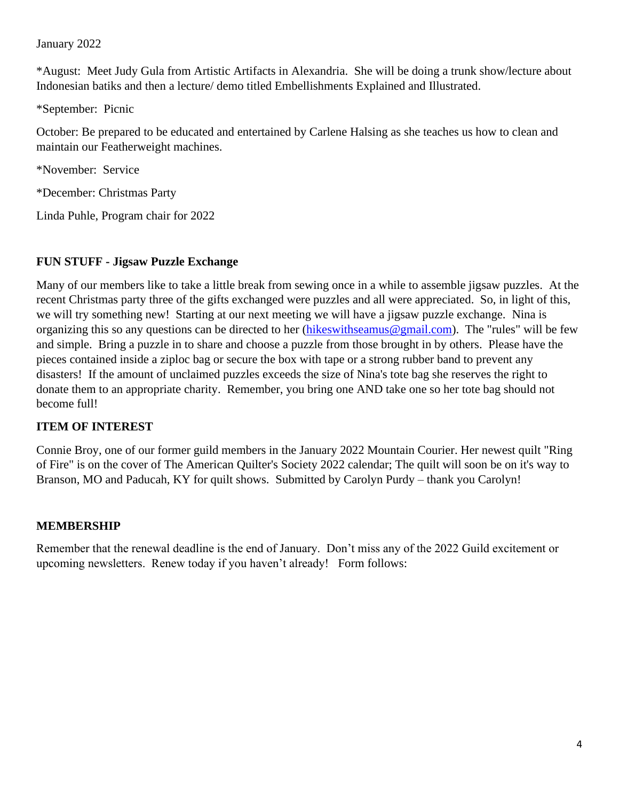#### January 2022

\*August: Meet Judy Gula from Artistic Artifacts in Alexandria. She will be doing a trunk show/lecture about Indonesian batiks and then a lecture/ demo titled Embellishments Explained and Illustrated.

\*September: Picnic

October: Be prepared to be educated and entertained by Carlene Halsing as she teaches us how to clean and maintain our Featherweight machines.

\*November: Service

\*December: Christmas Party

Linda Puhle, Program chair for 2022

### **FUN STUFF - Jigsaw Puzzle Exchange**

Many of our members like to take a little break from sewing once in a while to assemble jigsaw puzzles. At the recent Christmas party three of the gifts exchanged were puzzles and all were appreciated. So, in light of this, we will try something new! Starting at our next meeting we will have a jigsaw puzzle exchange. Nina is organizing this so any questions can be directed to her [\(hikeswithseamus@gmail.com\)](mailto:hikeswithseamus@gmail.com). The "rules" will be few and simple. Bring a puzzle in to share and choose a puzzle from those brought in by others. Please have the pieces contained inside a ziploc bag or secure the box with tape or a strong rubber band to prevent any disasters! If the amount of unclaimed puzzles exceeds the size of Nina's tote bag she reserves the right to donate them to an appropriate charity. Remember, you bring one AND take one so her tote bag should not become full!

### **ITEM OF INTEREST**

Connie Broy, one of our former guild members in the January 2022 Mountain Courier. Her newest quilt "Ring of Fire" is on the cover of The American Quilter's Society 2022 calendar; The quilt will soon be on it's way to Branson, MO and Paducah, KY for quilt shows. Submitted by Carolyn Purdy – thank you Carolyn!

### **MEMBERSHIP**

Remember that the renewal deadline is the end of January. Don't miss any of the 2022 Guild excitement or upcoming newsletters. Renew today if you haven't already! Form follows: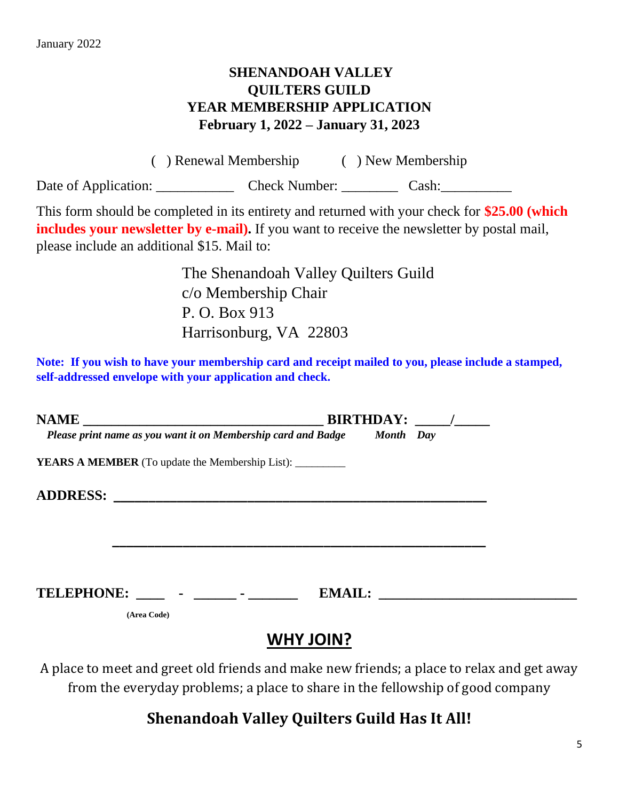### **SHENANDOAH VALLEY QUILTERS GUILD YEAR MEMBERSHIP APPLICATION February 1, 2022 – January 31, 2023**

( ) Renewal Membership ( ) New Membership Date of Application: \_\_\_\_\_\_\_\_\_\_\_\_\_\_\_\_\_ Check Number: \_\_\_\_\_\_\_\_\_\_\_\_ Cash: \_\_\_\_\_\_\_\_\_\_\_\_\_\_

This form should be completed in its entirety and returned with your check for **\$25.00 (which includes your newsletter by e-mail).** If you want to receive the newsletter by postal mail, please include an additional \$15. Mail to:

> The Shenandoah Valley Quilters Guild c/o Membership Chair P. O. Box 913 Harrisonburg, VA 22803

**Note: If you wish to have your membership card and receipt mailed to you, please include a stamped, self-addressed envelope with your application and check.**

| Please print name as you want it on Membership card and Badge Month Day |             |  |                  |        |  |  |
|-------------------------------------------------------------------------|-------------|--|------------------|--------|--|--|
| <b>YEARS A MEMBER</b> (To update the Membership List): __________       |             |  |                  |        |  |  |
|                                                                         |             |  |                  |        |  |  |
|                                                                         |             |  |                  |        |  |  |
|                                                                         |             |  |                  |        |  |  |
|                                                                         |             |  |                  |        |  |  |
| TELEPHONE: ____ - _____ - ______                                        |             |  |                  | EMAIL: |  |  |
|                                                                         | (Area Code) |  |                  |        |  |  |
|                                                                         |             |  | <b>WHY JOIN?</b> |        |  |  |

A place to meet and greet old friends and make new friends; a place to relax and get away from the everyday problems; a place to share in the fellowship of good company

## **Shenandoah Valley Quilters Guild Has It All!**